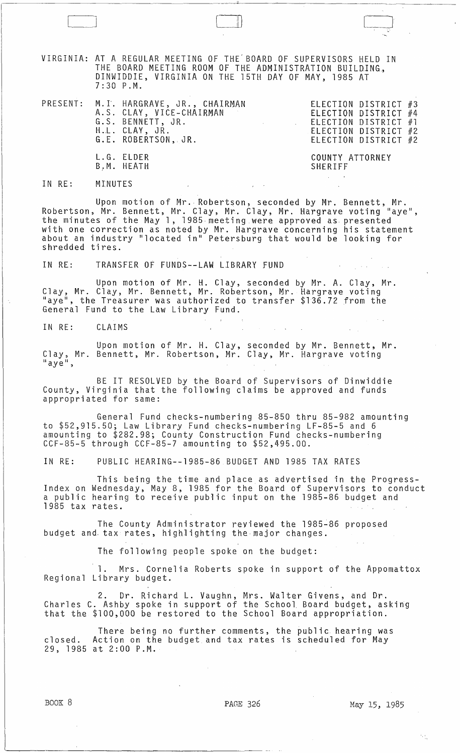VIRGINIA: AT A REGULAR MEETING OF THE' BOARD OF SUPERVISORS HELD IN THE BOARD MEETING ROOM OF THE ADMINISTRATION BUILDING, DINWIDDIE, VIRGINIA ON THE 15TH DAY OF MAY, 1985 AT 7:30 P.M.

|  | PRESENT: M.I. HARGRAVE, JR., CHAIRMAN<br>A.S. CLAY, VICE-CHAIRMAN<br>G.S. BENNETT, JR.<br>H.L. CLAY, JR.<br>G.E. ROBERTSON, JR. | and the contract of the |                 | ELECTION DISTRICT #3<br>ELECTION DISTRICT #4<br>ELECTION DISTRICT #1<br>ELECTION DISTRICT #2<br>ELECTION DISTRICT #2 |  |
|--|---------------------------------------------------------------------------------------------------------------------------------|-------------------------|-----------------|----------------------------------------------------------------------------------------------------------------------|--|
|  | L.G. ELDER                                                                                                                      |                         | COUNTY ATTORNEY |                                                                                                                      |  |

IN RE: MINUTES

B,M. HEATH

 $\begin{array}{|c|c|c|c|c|}\hline \quad \quad & \quad \quad & \quad \quad & \quad \quad \\ \hline \quad \quad & \quad \quad & \quad \quad & \quad \quad \\ \hline \quad \quad & \quad \quad & \quad \quad & \quad \quad \\ \hline \end{array}$ 

Upon motion of Mr. Robertson, seconded by Mr. Bennett, Mr. Robertson, Mr. Bennett, Mr. Clay, Mr. Clay, Mr. Hargrave voting "aye",<br>the minutes of the May 1, 1985 meeting were approved as presented with one correction as noted by Mr. Hargrave concerning his statement about an industry "located in" Petersburg that would be looking for shredded tires.

SHERIFF

IN RE: TRANSFER OF FUNDS--LAW LIBRARY FUND

Upon motion of Mr. H. Clay, seconded by Mr. A. Clay, Mr. Clay, Mr. Clay, Mr. Bennett, Mr. Robertson, Mr. Hargrave voting laye", the Treasurer was authorized to transfer \$136.72 from the General Fund to the Law Library Fund.

IN RE: CLAIMS

Upon motion of Mr. H. Clay, seconded by Mr. Bennett, Mr. Clay, Mr. Bennett, Mr. Robertson, Mr. Clay, Mr. Hargrave voting<br>"aye",

BE IT RESOLVED by the Board of Supervisors of Dinwiddie County, Virginia that the following claims be approved and funds appropriated for same:

General Fund checks-numbering 85-850 thru 85-982 amounting to \$52,915.50; Law Library Fund checks-numbering LF-85-5 and 6 amounting to \$282.98; County Construction Fund checks-numbering CCF-85-5 through CCF-85-7 amounting to \$52,495.00.

IN RE: PUBLIC HEARING--1985-86 BUDGET AND 1985 TAX RATES

This being the time and place as advertised in the Progress-Index on Wednesday, May 8, 1985 for the Board of Supervisors to conduct a public hearing to receive public input on the 1985-86 budget and 1985 tax rates.

The County Administrator reviewed the 1985~86 proposed budget and tax rates, highlighting the major changes.

The following people spoke on the budget:

1. Mrs. Cornelia Roberts spoke in support of the Appomattox Regional Library budget.

2. Dr. Richard L. Vaughn, Mrs. Walter Givens, and Dr. Charles C. Ashby spoke in support of the School. Board budget, asking that the \$100,000 be restored to the School Board appropriation.

There being no further comments, the public hearing was closed. Action on the budget and tax rates is scheduled for May 29, 1985 at 2:00 P.M.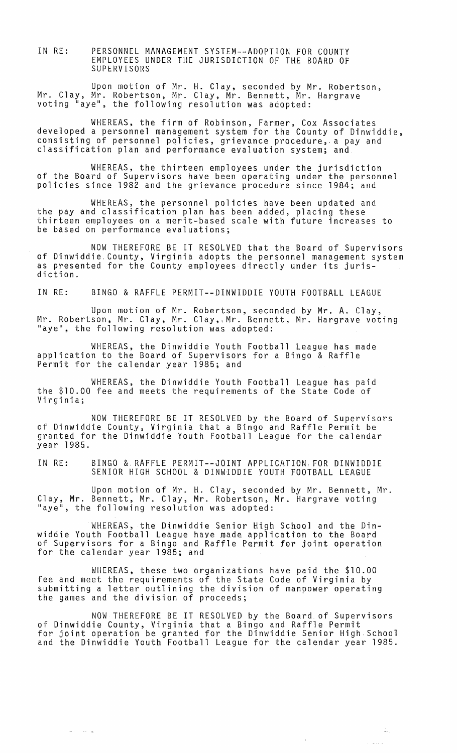IN RE: PERSONNEL MANAGEMENT SYSTEM--ADOPTION FOR COUNTY EMPLOYEES UNDER THE JURISDICTION OF THE BOARD OF SUPERVISORS

Upon motion of Mr. H. Clay, seconded by Mr. Robertson, Mr. Clay, Mr. Robertson, Mr. Clay, Mr. Bennett, Mr. Hargrave voting "aye", the following resolution was adopted:

WHEREAS, the firm of Robinson, Farmer, Cox Associates developed a personnel management system for the County of Dinwiddie, consisting of personnel policies, grievance procedure, a pay and classification plan and performance evaluation system; and

WHEREAS, the thirteen employees under the jurisdiction of the Board of Supervisors have been operating under the personnel policies since 1982 and the grievance procedure since 1984; and

WHEREAS, the personnel policies have been updated and the pay and classification plan has been added, placing these thirteen employees on a merit-based scale with future increases to be based on performance evaluations;

NOW THEREFORE BE IT RESOLVED that the Board of Supervisors of Dinwiddie, County, Virginia adopts the personnel management system as presented for the County employees directly under its juris- diction.

IN RE: BINGO & RAFFLE PERMIT--DINWIDDIE YOUTH FOOTBALL LEAGUE

Upon motion of Mr. Robertson, seconded by Mr. A. Clay, Mr. Robertson, Mr. Clay, Mr. Clay, Mr. Bennett, Mr. Hargrave voting "aye", the following resolution was adopted:

WHEREAS, the Dinwiddie Youth Football League has made application to the Board of Supervisors for a Bingo & Raffle Permit for the calendar year 1985; and

WHEREAS, the Dinwiddie Youth Football League has paid the \$10.00 fee and meets the requirements of the State Code of Virginia;

NOW THEREFORE BE IT RESOLVED by the Board of Supervisors of Dinwiddie County, Virginia that a Bingo and Raffle Permit be granted for the Dinwiddie Youth Football League for the calendar year 1985.

IN RE: BINGO & RAFFLE PERMIT--JOINT APPLICATION, FOR DINWIDDIE SENIOR HIGH SCHOOL & DINWIDDIE YOUTH FOOTBALL LEAGUE

Upon motion of Mr. H. Clay, seconded by Mr. Bennett, Mr. Clay, Mr. Bennett, Mr. Clay, Mr. Robertson, Mr. Hargrave voting<br>"aye", the following resolution was adopted:

WHEREAS, the Dinwiddie Senior High School and the Dinwiddie Youth Football League have made application to the Board of Supervisors for a Bingo and Raffle Permit for joint operation for the calendar year 1985; and

WHEREAS, these two organizations have paid the \$10.00 fee and meet the requirements of the State Code of Virginia by submitting a letter outlining the division of manpower operating the games and the division of proceeds;

NOW THEREFORE BE IT RESOLVED by the Board of Supervisors of Dinwiddie County, Virginia that a Bingo and Raffle Permit of binnicate obding, iliginia ondo a bingo and nafficitently comits and the Dinwiddie Youth Football League for the calendar year 1985.

 $\omega$  .  $\omega$  ,  $\omega$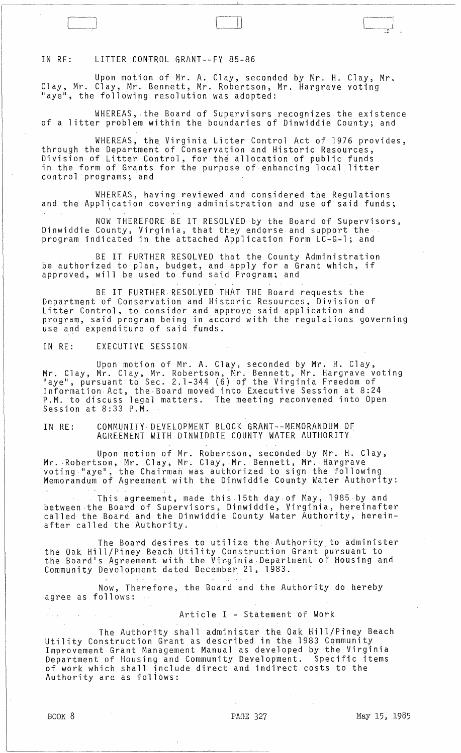IN RE: LITTER CONTROL GRANT--FY 85-86

L\_J

Upon motion of Mr. A. Clay, seconded by Mr. H. Clay, Mr. Clay, Mr. Clay, Mr. Bennett, Mr. Robertson, Mr. Hargrave voting "aye", the following resolution was adopted:

WHEREAS, ·the Board of Supervisors recognizes the existence of a litter problem within the boundaries of Dinwiddie County; and

WHEREAS, the Virginia Litter Control Act of 1976 provides, through the Department of Conservation and Historic Resources, Division of Litter Control, for the allocation of public funds in the form of Grants for the purpose of enhancing local litter control programs; and

WHEREAS, having reviewed and considered the Regulations and the Application covering administration and use of said funds;

NOW THEREFORE BE IT RESOLVED by the Board of Supervisors, Dinwiddie County, Virginia, that they endorse and support the· program indicated in the attached Application Form LC-G-l; and

BE IT FURTHER RESOLVED that the County Administration be authorized to plan, budget, and apply for a Grant which, if approved, will be used to fund said Program; and

BE IT FURTHER RESOLVED THAT THE Board requests the Department of Conservation and Historic Resources, Division of Litter Control, to consider and approve said application and program, said program being in accord with the regulations governing use and expenditure of said funds.

IN RE: EXECUTIVE SESSION

Upon motion of Mr. A. Clay, seconded by Mr. H. Clay, Mr. Clay, Mr. Clay, Mr. Robertson, Mr. Bennett, Mr. Hargrave voting "aye", pursuant to Sec. 2.1-344 (6) of the Virginia Freedom of aye, pursuant to sec. 2.1-344 (0) of the virginia rreeaom of P.M. to discuss legal matters. The meeting reconvened into Open Session at 8:33 P.M.

IN RE: COMMUNITY· DEVELOPMENT BLOCK GRANT--MEMORANDUM OF AGREEMENT WITH DINWIDDIE COUNTY WATER AUTHORITY·

Upon motion of Mr. Robertson, seconded by Mr. H. Clay, Mr. Robertson, Mr. Clay, Mr. Clay, Mr. Bennett, Mr. Hargrave voting "aye", the Chairman was authorized to sign the following Memorandum of Agreement with the Dinwiddie County Water Authority:

This agreement, made this 15th day of May, 1985 by and between ·the Board of Supervisors, Dinwiddie, Virginia, hereinafter called the Board and the Dinwiddie County Water Authority, hereinafter called the Authority.

The Board desires to utilize the Authority to administer the Oak Hill/Piney Beach Utility Construction Grant pursuant to the Board's Agreement with the Virginia Department of Housing and Community Development dated December 21, 1983.

Now, Therefore, the Board and the Authority do hereby agree as follows:

Article I - Statement of Work

The Authority shall administer the Oak Hill/Piney Beach Utility Construction Grant as described in the 1983 Community Improvement Grant Management Manual as developed by the Virginia Department of Housing and Community Development. Specific items of work which shall include direct and indirect costs to the Authority are as follows: